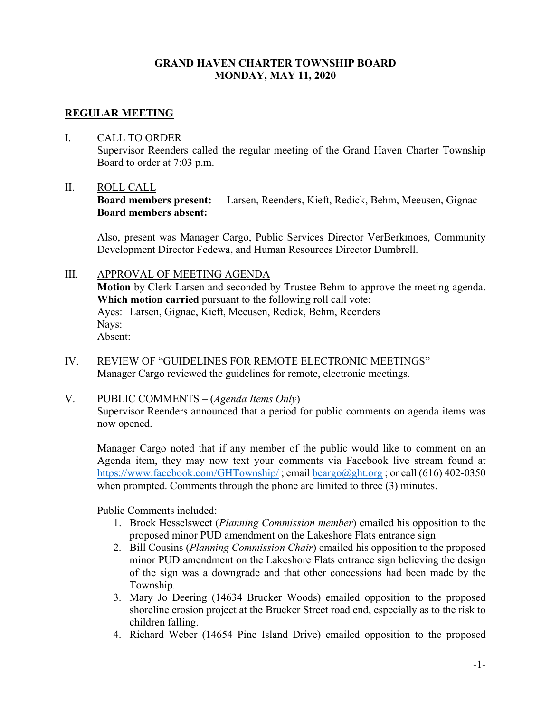### **GRAND HAVEN CHARTER TOWNSHIP BOARD MONDAY, MAY 11, 2020**

### **REGULAR MEETING**

#### I. CALL TO ORDER

Supervisor Reenders called the regular meeting of the Grand Haven Charter Township Board to order at 7:03 p.m.

#### II. ROLL CALL

**Board members present:** Larsen, Reenders, Kieft, Redick, Behm, Meeusen, Gignac **Board members absent:**

Also, present was Manager Cargo, Public Services Director VerBerkmoes, Community Development Director Fedewa, and Human Resources Director Dumbrell.

### III. APPROVAL OF MEETING AGENDA

**Motion** by Clerk Larsen and seconded by Trustee Behm to approve the meeting agenda. **Which motion carried** pursuant to the following roll call vote: Ayes: Larsen, Gignac, Kieft, Meeusen, Redick, Behm, Reenders Nays: Absent:

IV. REVIEW OF "GUIDELINES FOR REMOTE ELECTRONIC MEETINGS" Manager Cargo reviewed the guidelines for remote, electronic meetings.

#### V. PUBLIC COMMENTS – (*Agenda Items Only*)

Supervisor Reenders announced that a period for public comments on agenda items was now opened.

Manager Cargo noted that if any member of the public would like to comment on an Agenda item, they may now text your comments via Facebook live stream found at <https://www.facebook.com/GHTownship/>; email [bcargo@ght.org](mailto:bcargo@ght.org); or call (616) 402-0350 when prompted. Comments through the phone are limited to three  $(3)$  minutes.

Public Comments included:

- 1. Brock Hesselsweet (*Planning Commission member*) emailed his opposition to the proposed minor PUD amendment on the Lakeshore Flats entrance sign
- 2. Bill Cousins (*Planning Commission Chair*) emailed his opposition to the proposed minor PUD amendment on the Lakeshore Flats entrance sign believing the design of the sign was a downgrade and that other concessions had been made by the Township.
- 3. Mary Jo Deering (14634 Brucker Woods) emailed opposition to the proposed shoreline erosion project at the Brucker Street road end, especially as to the risk to children falling.
- 4. Richard Weber (14654 Pine Island Drive) emailed opposition to the proposed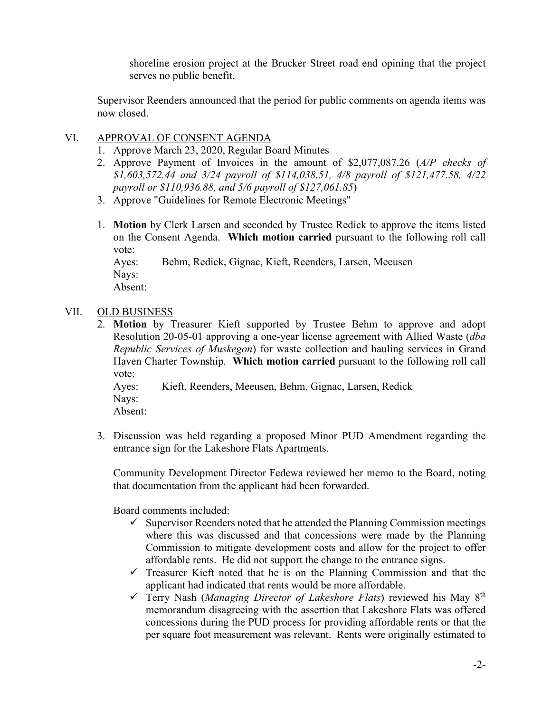shoreline erosion project at the Brucker Street road end opining that the project serves no public benefit.

Supervisor Reenders announced that the period for public comments on agenda items was now closed.

# VI. APPROVAL OF CONSENT AGENDA

- 1. Approve March 23, 2020, Regular Board Minutes
- 2. Approve Payment of Invoices in the amount of \$2,077,087.26 (*A/P checks of \$1,603,572.44 and 3/24 payroll of \$114,038.51, 4/8 payroll of \$121,477.58, 4/22 payroll or \$110,936.88, and 5/6 payroll of \$127,061.85*)
- 3. Approve "Guidelines for Remote Electronic Meetings"
- 1. **Motion** by Clerk Larsen and seconded by Trustee Redick to approve the items listed on the Consent Agenda. **Which motion carried** pursuant to the following roll call vote:

Ayes: Behm, Redick, Gignac, Kieft, Reenders, Larsen, Meeusen Nays:

Absent:

# VII. OLD BUSINESS

2. **Motion** by Treasurer Kieft supported by Trustee Behm to approve and adopt Resolution 20-05-01 approving a one-year license agreement with Allied Waste (*dba Republic Services of Muskegon*) for waste collection and hauling services in Grand Haven Charter Township. **Which motion carried** pursuant to the following roll call vote:

Ayes: Kieft, Reenders, Meeusen, Behm, Gignac, Larsen, Redick Nays:

Absent:

3. Discussion was held regarding a proposed Minor PUD Amendment regarding the entrance sign for the Lakeshore Flats Apartments.

Community Development Director Fedewa reviewed her memo to the Board, noting that documentation from the applicant had been forwarded.

Board comments included:

- $\checkmark$  Supervisor Reenders noted that he attended the Planning Commission meetings where this was discussed and that concessions were made by the Planning Commission to mitigate development costs and allow for the project to offer affordable rents. He did not support the change to the entrance signs.
- $\checkmark$  Treasurer Kieft noted that he is on the Planning Commission and that the applicant had indicated that rents would be more affordable.
- Terry Nash (*Managing Director of Lakeshore Flats*) reviewed his May 8th memorandum disagreeing with the assertion that Lakeshore Flats was offered concessions during the PUD process for providing affordable rents or that the per square foot measurement was relevant. Rents were originally estimated to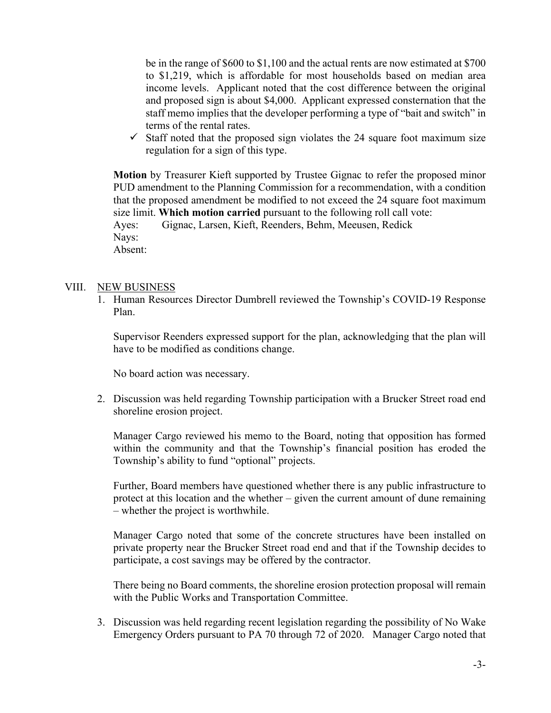be in the range of \$600 to \$1,100 and the actual rents are now estimated at \$700 to \$1,219, which is affordable for most households based on median area income levels. Applicant noted that the cost difference between the original and proposed sign is about \$4,000. Applicant expressed consternation that the staff memo implies that the developer performing a type of "bait and switch" in terms of the rental rates.

 $\checkmark$  Staff noted that the proposed sign violates the 24 square foot maximum size regulation for a sign of this type.

**Motion** by Treasurer Kieft supported by Trustee Gignac to refer the proposed minor PUD amendment to the Planning Commission for a recommendation, with a condition that the proposed amendment be modified to not exceed the 24 square foot maximum size limit. **Which motion carried** pursuant to the following roll call vote: Ayes: Gignac, Larsen, Kieft, Reenders, Behm, Meeusen, Redick Nays: Absent:

#### VIII. NEW BUSINESS

1. Human Resources Director Dumbrell reviewed the Township's COVID-19 Response Plan.

Supervisor Reenders expressed support for the plan, acknowledging that the plan will have to be modified as conditions change.

No board action was necessary.

2. Discussion was held regarding Township participation with a Brucker Street road end shoreline erosion project.

Manager Cargo reviewed his memo to the Board, noting that opposition has formed within the community and that the Township's financial position has eroded the Township's ability to fund "optional" projects.

Further, Board members have questioned whether there is any public infrastructure to protect at this location and the whether – given the current amount of dune remaining – whether the project is worthwhile.

Manager Cargo noted that some of the concrete structures have been installed on private property near the Brucker Street road end and that if the Township decides to participate, a cost savings may be offered by the contractor.

There being no Board comments, the shoreline erosion protection proposal will remain with the Public Works and Transportation Committee.

3. Discussion was held regarding recent legislation regarding the possibility of No Wake Emergency Orders pursuant to PA 70 through 72 of 2020. Manager Cargo noted that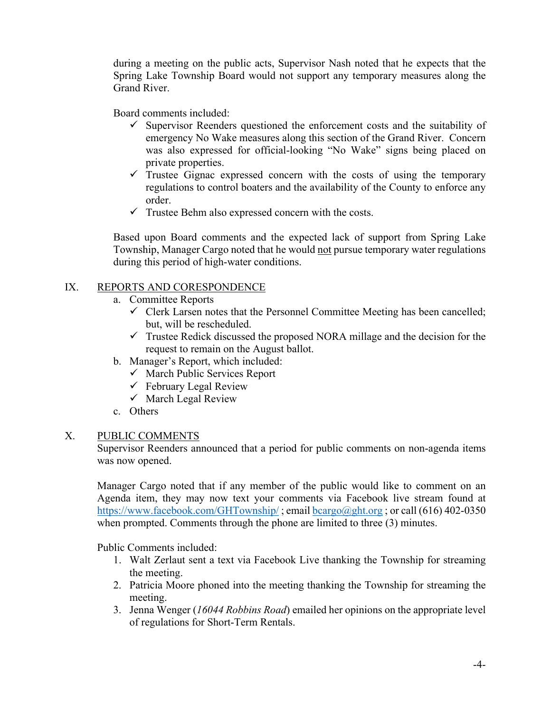during a meeting on the public acts, Supervisor Nash noted that he expects that the Spring Lake Township Board would not support any temporary measures along the Grand River.

Board comments included:

- $\checkmark$  Supervisor Reenders questioned the enforcement costs and the suitability of emergency No Wake measures along this section of the Grand River. Concern was also expressed for official-looking "No Wake" signs being placed on private properties.
- $\checkmark$  Trustee Gignac expressed concern with the costs of using the temporary regulations to control boaters and the availability of the County to enforce any order.
- $\checkmark$  Trustee Behm also expressed concern with the costs.

Based upon Board comments and the expected lack of support from Spring Lake Township, Manager Cargo noted that he would not pursue temporary water regulations during this period of high-water conditions.

# IX. REPORTS AND CORESPONDENCE

- a. Committee Reports
	- $\checkmark$  Clerk Larsen notes that the Personnel Committee Meeting has been cancelled; but, will be rescheduled.
	- $\checkmark$  Trustee Redick discussed the proposed NORA millage and the decision for the request to remain on the August ballot.
- b. Manager's Report, which included:
	- $\checkmark$  March Public Services Report
	- $\checkmark$  February Legal Review
	- $\checkmark$  March Legal Review
- c. Others

# X. PUBLIC COMMENTS

Supervisor Reenders announced that a period for public comments on non-agenda items was now opened.

Manager Cargo noted that if any member of the public would like to comment on an Agenda item, they may now text your comments via Facebook live stream found at <https://www.facebook.com/GHTownship/>; email [bcargo@ght.org](mailto:bcargo@ght.org); or call (616) 402-0350 when prompted. Comments through the phone are limited to three  $(3)$  minutes.

Public Comments included:

- 1. Walt Zerlaut sent a text via Facebook Live thanking the Township for streaming the meeting.
- 2. Patricia Moore phoned into the meeting thanking the Township for streaming the meeting.
- 3. Jenna Wenger (*16044 Robbins Road*) emailed her opinions on the appropriate level of regulations for Short-Term Rentals.